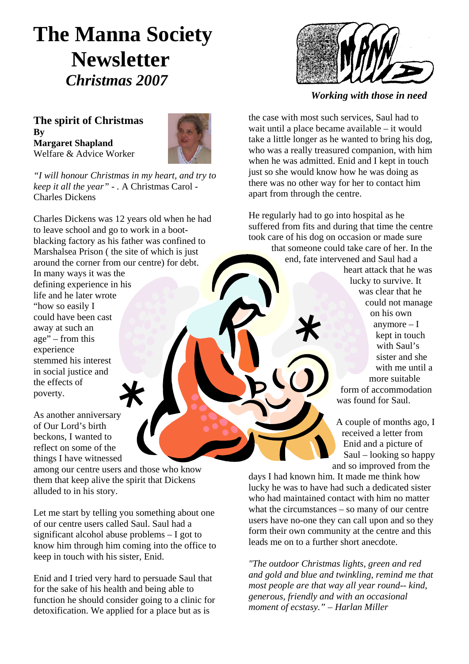# **The Manna Society Newsletter** *Christmas 2007 Working with those in need*

**The spirit of Christmas By Margaret Shapland**  Welfare & Advice Worker



*"I will honour Christmas in my heart, and try to keep it all the year" - .* A Christmas Carol - Charles Dickens

Charles Dickens was 12 years old when he had to leave school and go to work in a bootblacking factory as his father was confined to Marshalsea Prison ( the site of which is just around the corner from our centre) for debt.

In many ways it was the defining experience in his life and he later wrote "how so easily I could have been cast away at such an age" – from this experience stemmed his interest in social justice and the effects of poverty.

As another anniversary of Our Lord's birth beckons, I wanted to reflect on some of the things I have witnessed

among our centre users and those who know them that keep alive the spirit that Dickens alluded to in his story.

Let me start by telling you something about one of our centre users called Saul. Saul had a significant alcohol abuse problems – I got to know him through him coming into the office to keep in touch with his sister, Enid. *"The outdoor Christmas lights, green and red* 

Enid and I tried very hard to persuade Saul that for the sake of his health and being able to function he should consider going to a clinic for detoxification. We applied for a place but as is



the case with most such services, Saul had to wait until a place became available – it would take a little longer as he wanted to bring his dog, who was a really treasured companion, with him when he was admitted. Enid and I kept in touch just so she would know how he was doing as there was no other way for her to contact him apart from through the centre.

He regularly had to go into hospital as he suffered from fits and during that time the centre took care of his dog on occasion or made sure that someone could take care of her. In the end, fate intervened and Saul had a

> heart attack that he was lucky to survive. It was clear that he could not manage on his own anymore – I kept in touch with Saul's sister and she with me until a more suitable form of accommodation was found for Saul.

A couple of months ago, I received a letter from Enid and a picture of Saul – looking so happy and so improved from the

days I had known him. It made me think how lucky he was to have had such a dedicated sister who had maintained contact with him no matter what the circumstances – so many of our centre users have no-one they can call upon and so they form their own community at the centre and this leads me on to a further short anecdote.

*and gold and blue and twinkling, remind me that most people are that way all year round-- kind, generous, friendly and with an occasional moment of ecstasy." – Harlan Miller*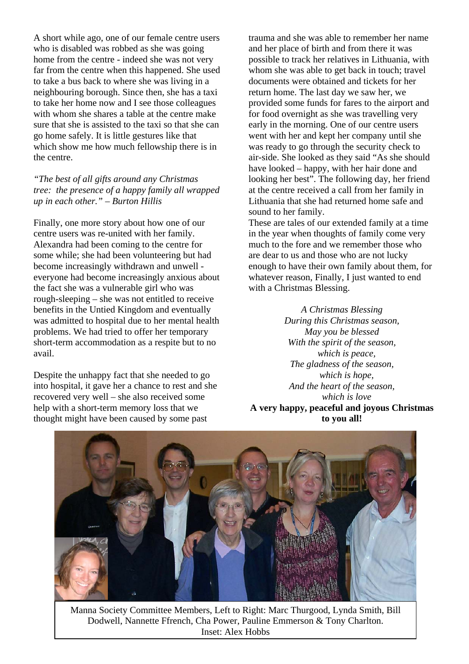A short while ago, one of our female centre users who is disabled was robbed as she was going home from the centre - indeed she was not very far from the centre when this happened. She used to take a bus back to where she was living in a neighbouring borough. Since then, she has a taxi to take her home now and I see those colleagues with whom she shares a table at the centre make sure that she is assisted to the taxi so that she can go home safely. It is little gestures like that which show me how much fellowship there is in the centre.

*"The best of all gifts around any Christmas tree: the presence of a happy family all wrapped up in each other." – Burton Hillis* 

Finally, one more story about how one of our centre users was re-united with her family. Alexandra had been coming to the centre for some while; she had been volunteering but had become increasingly withdrawn and unwell everyone had become increasingly anxious about the fact she was a vulnerable girl who was rough-sleeping – she was not entitled to receive benefits in the Untied Kingdom and eventually was admitted to hospital due to her mental health problems. We had tried to offer her temporary short-term accommodation as a respite but to no avail.

Despite the unhappy fact that she needed to go into hospital, it gave her a chance to rest and she recovered very well – she also received some help with a short-term memory loss that we thought might have been caused by some past

trauma and she was able to remember her name and her place of birth and from there it was possible to track her relatives in Lithuania, with whom she was able to get back in touch; travel documents were obtained and tickets for her return home. The last day we saw her, we provided some funds for fares to the airport and for food overnight as she was travelling very early in the morning. One of our centre users went with her and kept her company until she was ready to go through the security check to air-side. She looked as they said "As she should have looked – happy, with her hair done and looking her best". The following day, her friend at the centre received a call from her family in Lithuania that she had returned home safe and sound to her family.

These are tales of our extended family at a time in the year when thoughts of family come very much to the fore and we remember those who are dear to us and those who are not lucky enough to have their own family about them, for whatever reason, Finally, I just wanted to end with a Christmas Blessing.

*A Christmas Blessing During this Christmas season, May you be blessed With the spirit of the season, which is peace, The gladness of the season, which is hope, And the heart of the season, which is love* **A very happy, peaceful and joyous Christmas to you all!** 



Manna Society Committee Members, Left to Right: Marc Thurgood, Lynda Smith, Bill Dodwell, Nannette Ffrench, Cha Power, Pauline Emmerson & Tony Charlton. Inset: Alex Hobbs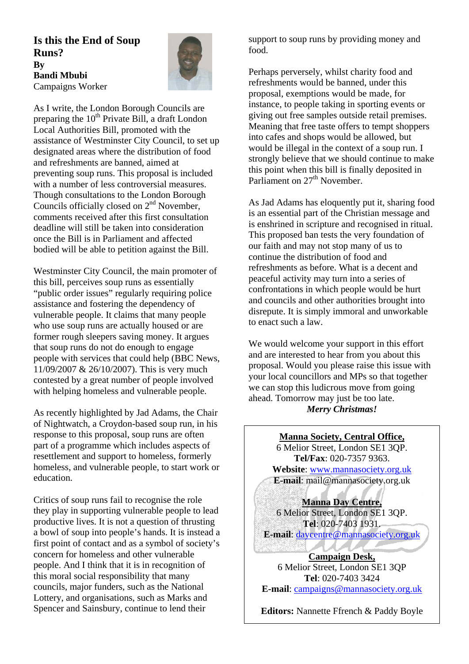**Is this the End of Soup Runs? By Bandi Mbubi**  Campaigns Worker



As I write, the London Borough Councils are preparing the  $10^{th}$  Private Bill, a draft London Local Authorities Bill, promoted with the assistance of Westminster City Council, to set up designated areas where the distribution of food and refreshments are banned, aimed at preventing soup runs. This proposal is included with a number of less controversial measures. Though consultations to the London Borough Councils officially closed on  $2<sup>nd</sup>$  November, comments received after this first consultation deadline will still be taken into consideration once the Bill is in Parliament and affected bodied will be able to petition against the Bill.

Westminster City Council, the main promoter of this bill, perceives soup runs as essentially "public order issues" regularly requiring police assistance and fostering the dependency of vulnerable people. It claims that many people who use soup runs are actually housed or are former rough sleepers saving money. It argues that soup runs do not do enough to engage people with services that could help (BBC News, 11/09/2007 & 26/10/2007). This is very much contested by a great number of people involved with helping homeless and vulnerable people.

As recently highlighted by Jad Adams, the Chair of Nightwatch, a Croydon-based soup run, in his response to this proposal, soup runs are often part of a programme which includes aspects of resettlement and support to homeless, formerly homeless, and vulnerable people, to start work or education.

Critics of soup runs fail to recognise the role they play in supporting vulnerable people to lead productive lives. It is not a question of thrusting a bowl of soup into people's hands. It is instead a first point of contact and as a symbol of society's concern for homeless and other vulnerable people. And I think that it is in recognition of this moral social responsibility that many councils, major funders, such as the National Lottery, and organisations, such as Marks and Spencer and Sainsbury, continue to lend their

support to soup runs by providing money and food.

Perhaps perversely, whilst charity food and refreshments would be banned, under this proposal, exemptions would be made, for instance, to people taking in sporting events or giving out free samples outside retail premises. Meaning that free taste offers to tempt shoppers into cafes and shops would be allowed, but would be illegal in the context of a soup run. I strongly believe that we should continue to make this point when this bill is finally deposited in Parliament on 27<sup>th</sup> November.

As Jad Adams has eloquently put it, sharing food is an essential part of the Christian message and is enshrined in scripture and recognised in ritual. This proposed ban tests the very foundation of our faith and may not stop many of us to continue the distribution of food and refreshments as before. What is a decent and peaceful activity may turn into a series of confrontations in which people would be hurt and councils and other authorities brought into disrepute. It is simply immoral and unworkable to enact such a law.

We would welcome your support in this effort and are interested to hear from you about this proposal. Would you please raise this issue with your local councillors and MPs so that together we can stop this ludicrous move from going ahead. Tomorrow may just be too late. *Merry Christmas!* 

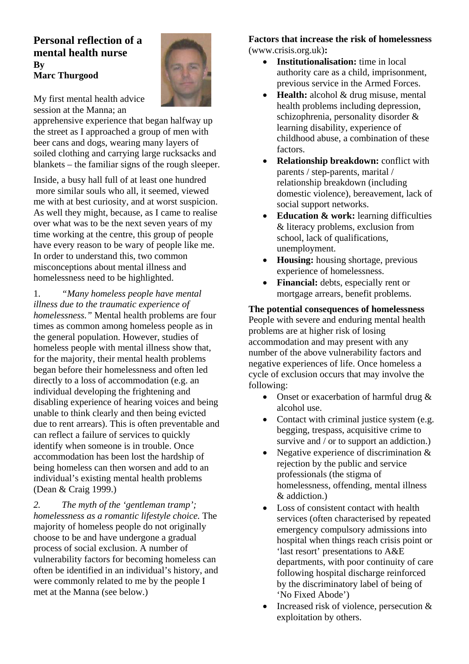## **Personal reflection of a mental health nurse By Marc Thurgood**



My first mental health advice session at the Manna; an

apprehensive experience that began halfway up the street as I approached a group of men with beer cans and dogs, wearing many layers of soiled clothing and carrying large rucksacks and blankets – the familiar signs of the rough sleeper. <br>
• **Relationship breakdown:** conflict with

Inside, a busy hall full of at least one hundred more similar souls who all, it seemed, viewed me with at best curiosity, and at worst suspicion. As well they might, because, as I came to realise over what was to be the next seven years of my time working at the centre, this group of people have every reason to be wary of people like me. have every reason to be wary or people like me.<br>In order to understand this, two common misconceptions about mental illness and homelessness need to be highlighted.

1. *"Many homeless people have mental* mortgage arrears, benefit problems. *illness due to the traumatic experience of homelessness."* Mental health problems are four times as common among homeless people as in the general population. However, studies of homeless people with mental illness show that, for the majority, their mental health problems began before their homelessness and often led directly to a loss of accommodation (e.g. an individual developing the frightening and disabling experience of hearing voices and being unable to think clearly and then being evicted due to rent arrears). This is often preventable and can reflect a failure of services to quickly identify when someone is in trouble. Once accommodation has been lost the hardship of being homeless can then worsen and add to an individual's existing mental health problems (Dean & Craig 1999.)

*2. The myth of the 'gentleman tramp'; homelessness as a romantic lifestyle choice.* The majority of homeless people do not originally choose to be and have undergone a gradual process of social exclusion. A number of vulnerability factors for becoming homeless can often be identified in an individual's history, and were commonly related to me by the people I met at the Manna (see below.)

#### **Factors that increase the risk of homelessness**  (www.crisis.org.uk)**:**

- **Institutionalisation:** time in local authority care as a child, imprisonment, previous service in the Armed Forces.
- **Health:** alcohol & drug misuse, mental health problems including depression, schizophrenia, personality disorder & learning disability, experience of childhood abuse, a combination of these factors.
- parents / step-parents, marital / relationship breakdown (including domestic violence), bereavement, lack of social support networks.
- **Education & work:** learning difficulties & literacy problems, exclusion from school, lack of qualifications,
- **Housing:** housing shortage, previous experience of homelessness.
- **Financial:** debts, especially rent or

**The potential consequences of homelessness**  People with severe and enduring mental health problems are at higher risk of losing accommodation and may present with any number of the above vulnerability factors and negative experiences of life. Once homeless a cycle of exclusion occurs that may involve the following:

- Onset or exacerbation of harmful drug & alcohol use.
- Contact with criminal justice system (e.g. begging, trespass, acquisitive crime to survive and / or to support an addiction.)
- Negative experience of discrimination  $\&$ rejection by the public and service professionals (the stigma of homelessness, offending, mental illness & addiction.)
- Loss of consistent contact with health services (often characterised by repeated emergency compulsory admissions into hospital when things reach crisis point or 'last resort' presentations to A&E departments, with poor continuity of care following hospital discharge reinforced by the discriminatory label of being of 'No Fixed Abode')
- Increased risk of violence, persecution  $\&$ exploitation by others.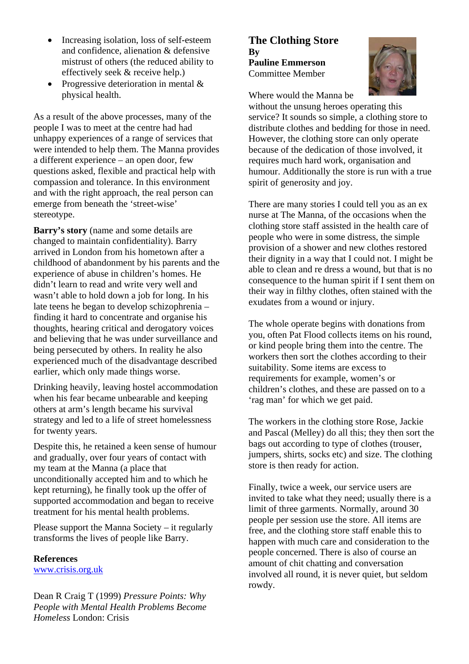- Increasing isolation, loss of self-esteem **The Clothing Store**  and confidence, alienation & defensive mistrust of others (the reduced ability to effectively seek & receive help.)
- Progressive deterioration in mental & physical health. Where would the Manna be

As a result of the above processes, many of the people I was to meet at the centre had had unhappy experiences of a range of services that were intended to help them. The Manna provides a different experience – an open door, few questions asked, flexible and practical help with compassion and tolerance. In this environment and with the right approach, the real person can emerge from beneath the 'street-wise' stereotype.

**Barry's story** (name and some details are changed to maintain confidentiality). Barry arrived in London from his hometown after a childhood of abandonment by his parents and the experience of abuse in children's homes. He didn't learn to read and write very well and wasn't able to hold down a job for long. In his late teens he began to develop schizophrenia – finding it hard to concentrate and organise his thoughts, hearing critical and derogatory voices and believing that he was under surveillance and being persecuted by others. In reality he also experienced much of the disadvantage described earlier, which only made things worse.

Drinking heavily, leaving hostel accommodation when his fear became unbearable and keeping others at arm's length became his survival strategy and led to a life of street homelessness for twenty years.

Despite this, he retained a keen sense of humour and gradually, over four years of contact with my team at the Manna (a place that unconditionally accepted him and to which he kept returning), he finally took up the offer of supported accommodation and began to receive treatment for his mental health problems.

Please support the Manna Society – it regularly transforms the lives of people like Barry.

#### **References**

[www.crisis.org.uk](http://www.crisis.org.uk/)

Dean R Craig T (1999) *Pressure Points: Why People with Mental Health Problems Become Homeless* London: Crisis

## **By Pauline Emmerson**  Committee Member



without the unsung heroes operating this service? It sounds so simple, a clothing store to distribute clothes and bedding for those in need. However, the clothing store can only operate because of the dedication of those involved, it requires much hard work, organisation and humour. Additionally the store is run with a true spirit of generosity and joy.

There are many stories I could tell you as an ex nurse at The Manna, of the occasions when the clothing store staff assisted in the health care of people who were in some distress, the simple provision of a shower and new clothes restored their dignity in a way that I could not. I might be able to clean and re dress a wound, but that is no consequence to the human spirit if I sent them on their way in filthy clothes, often stained with the exudates from a wound or injury.

The whole operate begins with donations from you, often Pat Flood collects items on his round, or kind people bring them into the centre. The workers then sort the clothes according to their suitability. Some items are excess to requirements for example, women's or children's clothes, and these are passed on to a 'rag man' for which we get paid.

The workers in the clothing store Rose, Jackie and Pascal (Melley) do all this; they then sort the bags out according to type of clothes (trouser, jumpers, shirts, socks etc) and size. The clothing store is then ready for action.

Finally, twice a week, our service users are invited to take what they need; usually there is a limit of three garments. Normally, around 30 people per session use the store. All items are free, and the clothing store staff enable this to happen with much care and consideration to the people concerned. There is also of course an amount of chit chatting and conversation involved all round, it is never quiet, but seldom rowdy.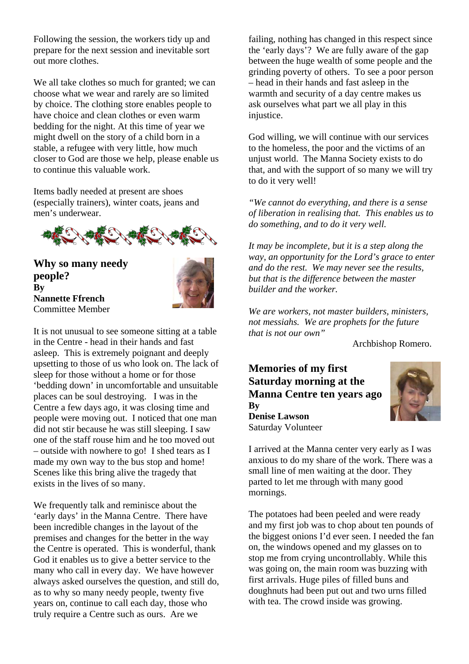Following the session, the workers tidy up and prepare for the next session and inevitable sort out more clothes.

We all take clothes so much for granted; we can choose what we wear and rarely are so limited by choice. The clothing store enables people to have choice and clean clothes or even warm bedding for the night. At this time of year we might dwell on the story of a child born in a stable, a refugee with very little, how much closer to God are those we help, please enable us to continue this valuable work.

Items badly needed at present are shoes (especially trainers), winter coats, jeans and men's underwear.



**Why so many needy people? By Nannette Ffrench**  Committee Member



It is not unusual to see someone sitting at a table in the Centre - head in their hands and fast asleep. This is extremely poignant and deeply upsetting to those of us who look on. The lack of sleep for those without a home or for those 'bedding down' in uncomfortable and unsuitable places can be soul destroying. I was in the Centre a few days ago, it was closing time and people were moving out. I noticed that one man did not stir because he was still sleeping. I saw one of the staff rouse him and he too moved out – outside with nowhere to go! I shed tears as I made my own way to the bus stop and home! Scenes like this bring alive the tragedy that exists in the lives of so many.

We frequently talk and reminisce about the 'early days' in the Manna Centre. There have been incredible changes in the layout of the premises and changes for the better in the way the Centre is operated. This is wonderful, thank God it enables us to give a better service to the many who call in every day. We have however always asked ourselves the question, and still do, as to why so many needy people, twenty five years on, continue to call each day, those who truly require a Centre such as ours. Are we

failing, nothing has changed in this respect since the 'early days'? We are fully aware of the gap between the huge wealth of some people and the grinding poverty of others. To see a poor person – head in their hands and fast asleep in the warmth and security of a day centre makes us ask ourselves what part we all play in this injustice.

God willing, we will continue with our services to the homeless, the poor and the victims of an unjust world. The Manna Society exists to do that, and with the support of so many we will try to do it very well!

*"We cannot do everything, and there is a sense of liberation in realising that. This enables us to do something, and to do it very well.* 

*It may be incomplete, but it is a step along the way, an opportunity for the Lord's grace to enter and do the rest. We may never see the results, but that is the difference between the master builder and the worker.* 

*We are workers, not master builders, ministers, not messiahs. We are prophets for the future that is not our own"*

Archbishop Romero.

### **Memories of my first Saturday morning at the Manna Centre ten years ago By Denise Lawson**  Saturday Volunteer



I arrived at the Manna center very early as I was anxious to do my share of the work. There was a small line of men waiting at the door. They parted to let me through with many good mornings.

The potatoes had been peeled and were ready and my first job was to chop about ten pounds of the biggest onions I'd ever seen. I needed the fan on, the windows opened and my glasses on to stop me from crying uncontrollably. While this was going on, the main room was buzzing with first arrivals. Huge piles of filled buns and doughnuts had been put out and two urns filled with tea. The crowd inside was growing.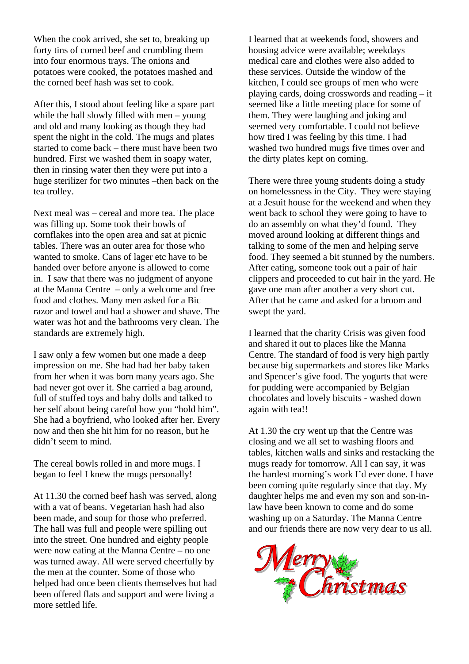When the cook arrived, she set to, breaking up forty tins of corned beef and crumbling them into four enormous trays. The onions and potatoes were cooked, the potatoes mashed and the corned beef hash was set to cook.

After this, I stood about feeling like a spare part while the hall slowly filled with men – young and old and many looking as though they had spent the night in the cold. The mugs and plates started to come back – there must have been two hundred. First we washed them in soapy water, then in rinsing water then they were put into a huge sterilizer for two minutes –then back on the tea trolley.

Next meal was – cereal and more tea. The place was filling up. Some took their bowls of cornflakes into the open area and sat at picnic tables. There was an outer area for those who wanted to smoke. Cans of lager etc have to be handed over before anyone is allowed to come in. I saw that there was no judgment of anyone at the Manna Centre – only a welcome and free food and clothes. Many men asked for a Bic razor and towel and had a shower and shave. The water was hot and the bathrooms very clean. The standards are extremely high.

I saw only a few women but one made a deep impression on me. She had had her baby taken from her when it was born many years ago. She had never got over it. She carried a bag around, full of stuffed toys and baby dolls and talked to her self about being careful how you "hold him". She had a boyfriend, who looked after her. Every now and then she hit him for no reason, but he didn't seem to mind.

The cereal bowls rolled in and more mugs. I began to feel I knew the mugs personally!

At 11.30 the corned beef hash was served, along with a vat of beans. Vegetarian hash had also been made, and soup for those who preferred. The hall was full and people were spilling out into the street. One hundred and eighty people were now eating at the Manna Centre – no one was turned away. All were served cheerfully by the men at the counter. Some of those who helped had once been clients themselves but had been offered flats and support and were living a more settled life.

I learned that at weekends food, showers and housing advice were available; weekdays medical care and clothes were also added to these services. Outside the window of the kitchen, I could see groups of men who were playing cards, doing crosswords and reading – it seemed like a little meeting place for some of them. They were laughing and joking and seemed very comfortable. I could not believe how tired I was feeling by this time. I had washed two hundred mugs five times over and the dirty plates kept on coming.

There were three young students doing a study on homelessness in the City. They were staying at a Jesuit house for the weekend and when they went back to school they were going to have to do an assembly on what they'd found. They moved around looking at different things and talking to some of the men and helping serve food. They seemed a bit stunned by the numbers. After eating, someone took out a pair of hair clippers and proceeded to cut hair in the yard. He gave one man after another a very short cut. After that he came and asked for a broom and swept the yard.

I learned that the charity Crisis was given food and shared it out to places like the Manna Centre. The standard of food is very high partly because big supermarkets and stores like Marks and Spencer's give food. The yogurts that were for pudding were accompanied by Belgian chocolates and lovely biscuits - washed down again with tea!!

At 1.30 the cry went up that the Centre was closing and we all set to washing floors and tables, kitchen walls and sinks and restacking the mugs ready for tomorrow. All I can say, it was the hardest morning's work I'd ever done. I have been coming quite regularly since that day. My daughter helps me and even my son and son-inlaw have been known to come and do some washing up on a Saturday. The Manna Centre and our friends there are now very dear to us all.